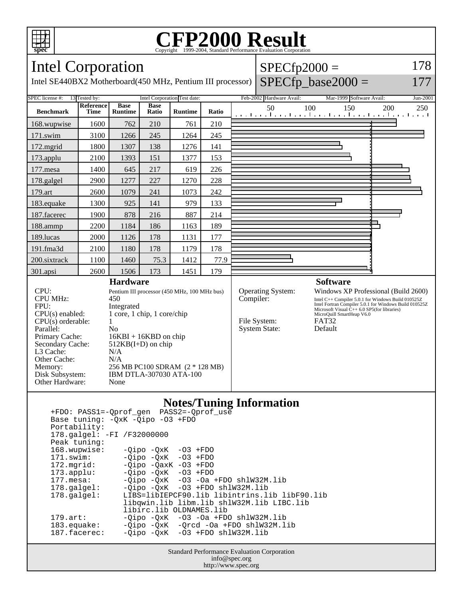

## Copyright ©1999-2004, Standard Performance Evaluation Corporation

 $SPECfp2000 =$ 

178

Intel Corporation

| Intel SE440BX2 Motherboard (450 MHz, Pentium III processor)                                                                    |                          |                                                                                                                                                                            |                      |                              |       |  |                                                                        |                                                                                                                                                                                                                                                                 | $SPECfp\_base2000 =$     |                                                       | 177      |
|--------------------------------------------------------------------------------------------------------------------------------|--------------------------|----------------------------------------------------------------------------------------------------------------------------------------------------------------------------|----------------------|------------------------------|-------|--|------------------------------------------------------------------------|-----------------------------------------------------------------------------------------------------------------------------------------------------------------------------------------------------------------------------------------------------------------|--------------------------|-------------------------------------------------------|----------|
| SPEC license #:                                                                                                                | 13 Tested by:            |                                                                                                                                                                            |                      | Intel Corporation Test date: |       |  | Feb-2002 Hardware Avail:                                               |                                                                                                                                                                                                                                                                 | Mar-1999 Software Avail: |                                                       | Jun-2001 |
| <b>Benchmark</b>                                                                                                               | Reference<br><b>Time</b> | <b>Base</b><br><b>Runtime</b>                                                                                                                                              | <b>Base</b><br>Ratio | <b>Runtime</b>               | Ratio |  | 50                                                                     | 100                                                                                                                                                                                                                                                             | 150                      | 200<br>المتما بتطاعينا بتطعينا بتطعينا بتطعينا بتطعيل | 250      |
| 168.wupwise                                                                                                                    | 1600                     | 762                                                                                                                                                                        | 210                  | 761                          | 210   |  |                                                                        |                                                                                                                                                                                                                                                                 |                          |                                                       |          |
| 171.swim                                                                                                                       | 3100                     | 1266                                                                                                                                                                       | 245                  | 1264                         | 245   |  |                                                                        |                                                                                                                                                                                                                                                                 |                          |                                                       |          |
| 172.mgrid                                                                                                                      | 1800                     | 1307                                                                                                                                                                       | 138                  | 1276                         | 141   |  |                                                                        |                                                                                                                                                                                                                                                                 |                          |                                                       |          |
| 173.applu                                                                                                                      | 2100                     | 1393                                                                                                                                                                       | 151                  | 1377                         | 153   |  |                                                                        |                                                                                                                                                                                                                                                                 |                          |                                                       |          |
| $177$ .mesa                                                                                                                    | 1400                     | 645                                                                                                                                                                        | 217                  | 619                          | 226   |  |                                                                        |                                                                                                                                                                                                                                                                 |                          |                                                       |          |
| 178.galgel                                                                                                                     | 2900                     | 1277                                                                                                                                                                       | 227                  | 1270                         | 228   |  |                                                                        |                                                                                                                                                                                                                                                                 |                          |                                                       |          |
| 179.art                                                                                                                        | 2600                     | 1079                                                                                                                                                                       | 241                  | 1073                         | 242   |  |                                                                        |                                                                                                                                                                                                                                                                 |                          |                                                       |          |
| 183.equake                                                                                                                     | 1300                     | 925                                                                                                                                                                        | 141                  | 979                          | 133   |  |                                                                        |                                                                                                                                                                                                                                                                 |                          |                                                       |          |
| 187.facerec                                                                                                                    | 1900                     | 878                                                                                                                                                                        | 216                  | 887                          | 214   |  |                                                                        |                                                                                                                                                                                                                                                                 |                          |                                                       |          |
| 188.ammp                                                                                                                       | 2200                     | 1184                                                                                                                                                                       | 186                  | 1163                         | 189   |  |                                                                        |                                                                                                                                                                                                                                                                 |                          |                                                       |          |
| 189.lucas                                                                                                                      | 2000                     | 1126                                                                                                                                                                       | 178                  | 1131                         | 177   |  |                                                                        |                                                                                                                                                                                                                                                                 |                          |                                                       |          |
| 191.fma3d                                                                                                                      | 2100                     | 1180                                                                                                                                                                       | 178                  | 1179                         | 178   |  |                                                                        |                                                                                                                                                                                                                                                                 |                          |                                                       |          |
| 200.sixtrack                                                                                                                   | 1100                     | 1460                                                                                                                                                                       | 75.3                 | 1412                         | 77.9  |  |                                                                        |                                                                                                                                                                                                                                                                 |                          |                                                       |          |
| $301$ .apsi                                                                                                                    | 2600                     | 1506                                                                                                                                                                       | 173                  | 1451                         | 179   |  |                                                                        |                                                                                                                                                                                                                                                                 |                          |                                                       |          |
|                                                                                                                                |                          | <b>Hardware</b>                                                                                                                                                            |                      |                              |       |  |                                                                        |                                                                                                                                                                                                                                                                 | <b>Software</b>          |                                                       |          |
| CPU:<br><b>CPU MHz:</b><br>FPU:<br>$CPU(s)$ enabled:<br>$CPU(s)$ orderable:<br>Parallel:<br>Primary Cache:<br>Secondary Cache: |                          | Pentium III processor (450 MHz, 100 MHz bus)<br>450<br>Integrated<br>1 core, 1 chip, 1 core/chip<br>1<br>N <sub>0</sub><br>$16KBI + 16KBD$ on chip<br>$512KB(I+D)$ on chip |                      |                              |       |  | <b>Operating System:</b><br>Compiler:<br>File System:<br>System State: | Windows XP Professional (Build 2600)<br>Intel C++ Compiler 5.0.1 for Windows Build 010525Z<br>Intel Fortran Compiler 5.0.1 for Windows Build 010525Z<br>Microsoft Visual $\hat{C}_{++}$ 6.0 SP5(for libraries)<br>MicroQuill SmartHeap V6.0<br>FAT32<br>Default |                          |                                                       |          |
| L3 Cache:<br>Other Cache:<br>Memory:<br>Disk Subsystem:<br>Other Hardware:                                                     |                          | N/A<br>N/A<br>256 MB PC100 SDRAM (2 * 128 MB)<br>IBM DTLA-307030 ATA-100<br>None                                                                                           |                      |                              |       |  |                                                                        |                                                                                                                                                                                                                                                                 |                          |                                                       |          |

## **Notes/Tuning Information**

| +FDO: PASS1=-Oprof gen PASS2=-Oprof use                                |  |  |  |  |  |  |  |
|------------------------------------------------------------------------|--|--|--|--|--|--|--|
| Base tuning: - OxK - Oipo - 03 + FDO                                   |  |  |  |  |  |  |  |
| Portability:                                                           |  |  |  |  |  |  |  |
| 178.galgel: -FI /F32000000                                             |  |  |  |  |  |  |  |
| Peak tuning:                                                           |  |  |  |  |  |  |  |
| 168.wupwise:<br>$-Qipo -QxK -O3 + FDO$                                 |  |  |  |  |  |  |  |
| $-Oipo -OXK -O3 + FDO$<br>$171$ .swim:                                 |  |  |  |  |  |  |  |
| $172.\text{mgrid:}$ -Oipo $-0axK$ -O3 $+FDO$                           |  |  |  |  |  |  |  |
| $173.\text{applu}:$ -Qipo $-\text{QxK}$ -O3 +FDO                       |  |  |  |  |  |  |  |
| $-Oipo -OXK -O3 -Oa + FDO sh1W32M.lib$<br>$177.\mathtt{mesa}\colon$    |  |  |  |  |  |  |  |
| $-Oipo -OXK -O3 + FDO sh1W32M.lib$<br>$178.\text{qalgel}$ :            |  |  |  |  |  |  |  |
| LIBS=libIEPCF90.lib libintrins.lib libF90.lib<br>$178.\text{qalgel}$ : |  |  |  |  |  |  |  |
| libqwin.lib libm.lib shlW32M.lib LIBC.lib                              |  |  |  |  |  |  |  |
| libirc.lib OLDNAMES.lib                                                |  |  |  |  |  |  |  |
| $-Oipo$ $-OXK$ $-O3$ $-Oa$ $+FDO$ $sh1W32M.lib$<br>$179.\text{art}:$   |  |  |  |  |  |  |  |
| $-Oipo -OXK -Orcd -Oa + FDO shlW32M.lib$<br>183.equake:                |  |  |  |  |  |  |  |
| $-Oipo -OXK -O3 + FDO sh1W32M.lib$<br>$187.$ facerec:                  |  |  |  |  |  |  |  |

Standard Performance Evaluation Corporation info@spec.org http://www.spec.org